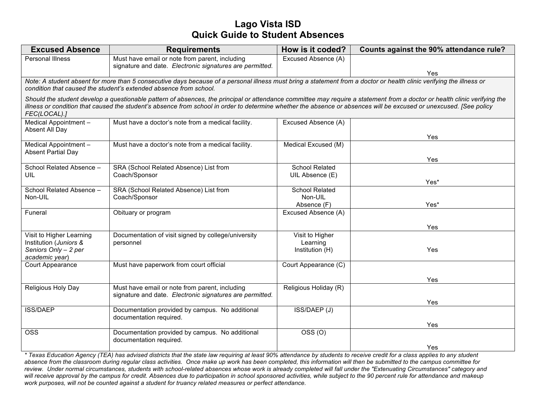## **Lago Vista ISD Quick Guide to Student Absences**

| <b>Excused Absence</b>                                                                                                                                                                                                                                                                                                                                          | <b>Requirements</b>                                      | How is it coded?                   | Counts against the 90% attendance rule? |  |
|-----------------------------------------------------------------------------------------------------------------------------------------------------------------------------------------------------------------------------------------------------------------------------------------------------------------------------------------------------------------|----------------------------------------------------------|------------------------------------|-----------------------------------------|--|
| <b>Personal Illness</b>                                                                                                                                                                                                                                                                                                                                         | Must have email or note from parent, including           | Excused Absence (A)                |                                         |  |
|                                                                                                                                                                                                                                                                                                                                                                 | signature and date. Electronic signatures are permitted. |                                    | Yes                                     |  |
| Note: A student absent for more than 5 consecutive days because of a personal illness must bring a statement from a doctor or health clinic verifying the illness or<br>condition that caused the student's extended absence from school.                                                                                                                       |                                                          |                                    |                                         |  |
| Should the student develop a questionable pattern of absences, the principal or attendance committee may require a statement from a doctor or health clinic verifying the<br>illness or condition that caused the student's absence from school in order to determine whether the absence or absences will be excused or unexcused. [See policy<br>FEC(LOCAL).] |                                                          |                                    |                                         |  |
| Medical Appointment -<br>Absent All Day                                                                                                                                                                                                                                                                                                                         | Must have a doctor's note from a medical facility.       | Excused Absence (A)                |                                         |  |
|                                                                                                                                                                                                                                                                                                                                                                 |                                                          |                                    | Yes                                     |  |
| Medical Appointment -<br><b>Absent Partial Day</b>                                                                                                                                                                                                                                                                                                              | Must have a doctor's note from a medical facility.       | Medical Excused (M)                |                                         |  |
|                                                                                                                                                                                                                                                                                                                                                                 |                                                          |                                    | Yes                                     |  |
| School Related Absence -                                                                                                                                                                                                                                                                                                                                        | SRA (School Related Absence) List from                   | <b>School Related</b>              |                                         |  |
| UIL                                                                                                                                                                                                                                                                                                                                                             | Coach/Sponsor                                            | UIL Absence (E)                    | Yes*                                    |  |
| School Related Absence -                                                                                                                                                                                                                                                                                                                                        | SRA (School Related Absence) List from                   | <b>School Related</b>              |                                         |  |
| Non-UIL                                                                                                                                                                                                                                                                                                                                                         | Coach/Sponsor                                            | Non-UIL                            |                                         |  |
| Funeral                                                                                                                                                                                                                                                                                                                                                         | Obituary or program                                      | Absence (F)<br>Excused Absence (A) | Yes*                                    |  |
|                                                                                                                                                                                                                                                                                                                                                                 |                                                          |                                    |                                         |  |
|                                                                                                                                                                                                                                                                                                                                                                 |                                                          |                                    | Yes                                     |  |
| Visit to Higher Learning                                                                                                                                                                                                                                                                                                                                        | Documentation of visit signed by college/university      | Visit to Higher                    |                                         |  |
| Institution (Juniors &<br>Seniors Only - 2 per                                                                                                                                                                                                                                                                                                                  | personnel                                                | Learning<br>Institution (H)        | Yes                                     |  |
| academic year)                                                                                                                                                                                                                                                                                                                                                  |                                                          |                                    |                                         |  |
| Court Appearance                                                                                                                                                                                                                                                                                                                                                | Must have paperwork from court official                  | Court Appearance (C)               |                                         |  |
|                                                                                                                                                                                                                                                                                                                                                                 |                                                          |                                    | Yes                                     |  |
| Religious Holy Day                                                                                                                                                                                                                                                                                                                                              | Must have email or note from parent, including           | Religious Holiday (R)              |                                         |  |
|                                                                                                                                                                                                                                                                                                                                                                 | signature and date. Electronic signatures are permitted. |                                    |                                         |  |
| <b>ISS/DAEP</b>                                                                                                                                                                                                                                                                                                                                                 | Documentation provided by campus. No additional          | ISS/DAEP (J)                       | Yes                                     |  |
|                                                                                                                                                                                                                                                                                                                                                                 | documentation required.                                  |                                    |                                         |  |
|                                                                                                                                                                                                                                                                                                                                                                 |                                                          |                                    | Yes                                     |  |
| <b>OSS</b>                                                                                                                                                                                                                                                                                                                                                      | Documentation provided by campus. No additional          | OSS <sub>(O)</sub>                 |                                         |  |
|                                                                                                                                                                                                                                                                                                                                                                 | documentation required.                                  |                                    | Yes                                     |  |

*\* Texas Education Agency (TEA) has advised districts that the state law requiring at least 90% attendance by students to receive credit for a class applies to any student absence from the classroom during regular class activities. Once make up work has been completed, this information will then be submitted to the campus committee for review. Under normal circumstances, students with school-related absences whose work is already completed will fall under the "Extenuating Circumstances" category and will receive approval by the campus for credit. Absences due to participation in school sponsored activities, while subject to the 90 percent rule for attendance and makeup work purposes, will not be counted against a student for truancy related measures or perfect attendance.*